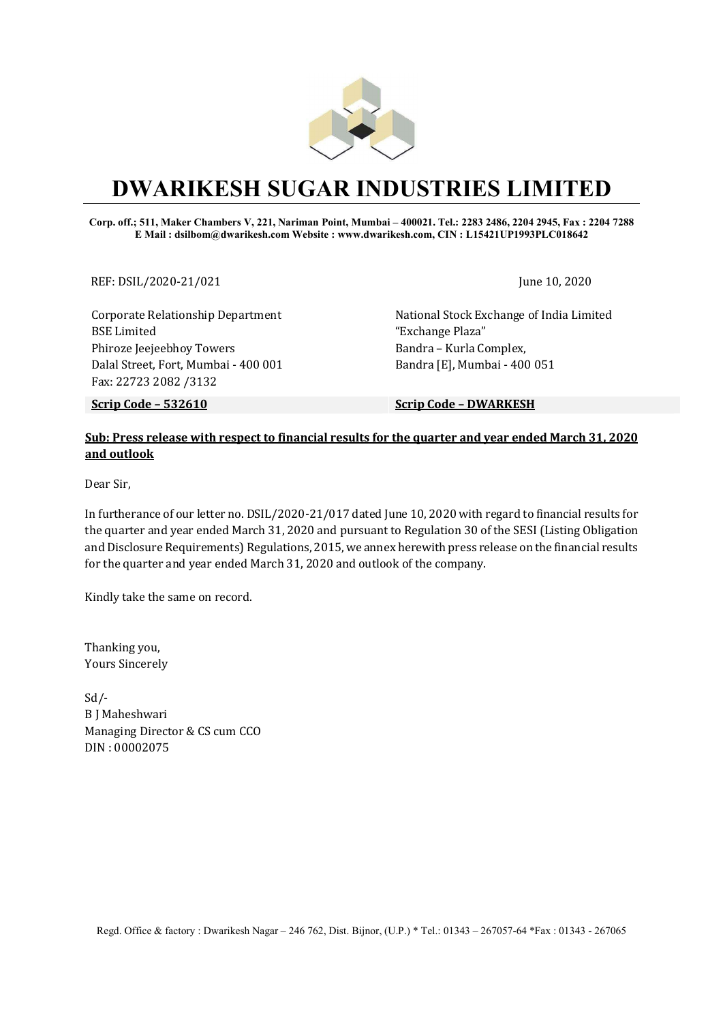

# DWARIKESH SUGAR INDUSTRIES LIMITED

#### Corp. off.; 511, Maker Chambers V, 221, Nariman Point, Mumbai – 400021. Tel.: 2283 2486, 2204 2945, Fax : 2204 7288 E Mail : dsilbom@dwarikesh.com Website : www.dwarikesh.com, CIN : L15421UP1993PLC018642

REF: DSIL/2020-21/021 June 10, 2020

Corporate Relationship Department BSE Limited Phiroze Jeejeebhoy Towers Dalal Street, Fort, Mumbai - 400 001 Fax: 22723 2082 /3132

National Stock Exchange of India Limited "Exchange Plaza" Bandra – Kurla Complex, Bandra [E], Mumbai - 400 051

Scrip Code – 532610 Scrip Code – DWARKESH

### Sub: Press release with respect to financial results for the quarter and year ended March 31, 2020 and outlook

Dear Sir,

In furtherance of our letter no. DSIL/2020-21/017 dated June 10, 2020 with regard to financial results for the quarter and year ended March 31, 2020 and pursuant to Regulation 30 of the SESI (Listing Obligation and Disclosure Requirements) Regulations, 2015, we annex herewith press release on the financial results for the quarter and year ended March 31, 2020 and outlook of the company.

Kindly take the same on record.

Thanking you, Yours Sincerely

Sd/- B J Maheshwari Managing Director & CS cum CCO DIN : 00002075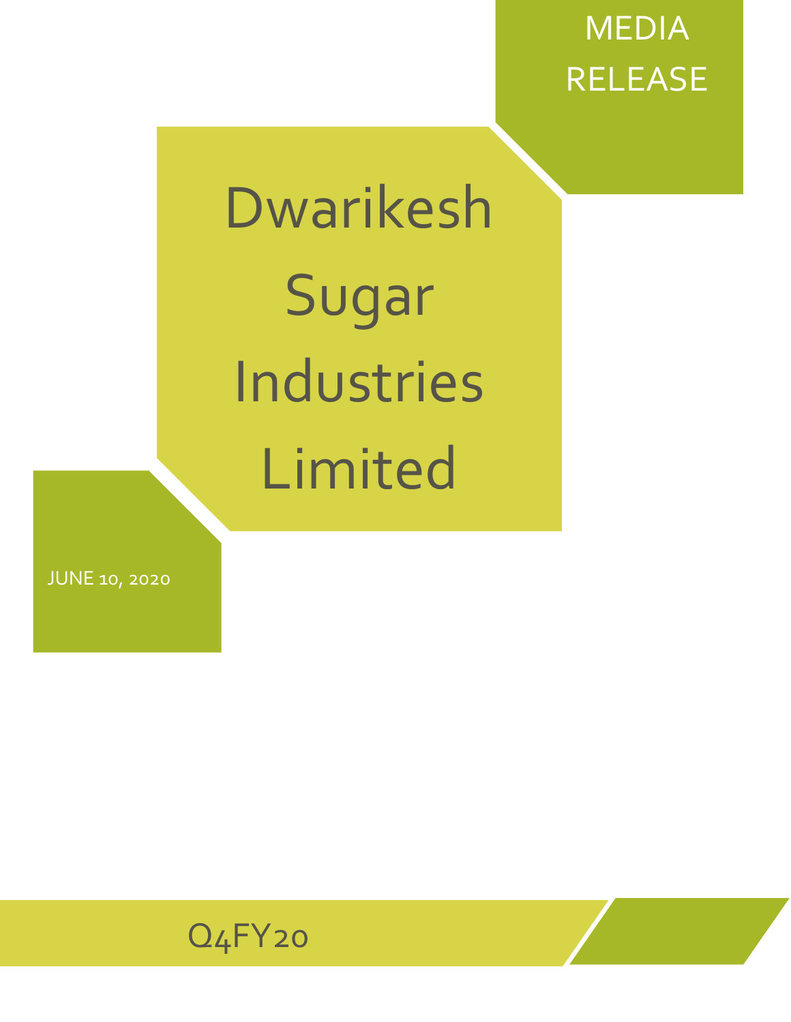# MEDIA RELEASE

# Dwarikesh Sugar Industries Limited

JUNE 10, 2020

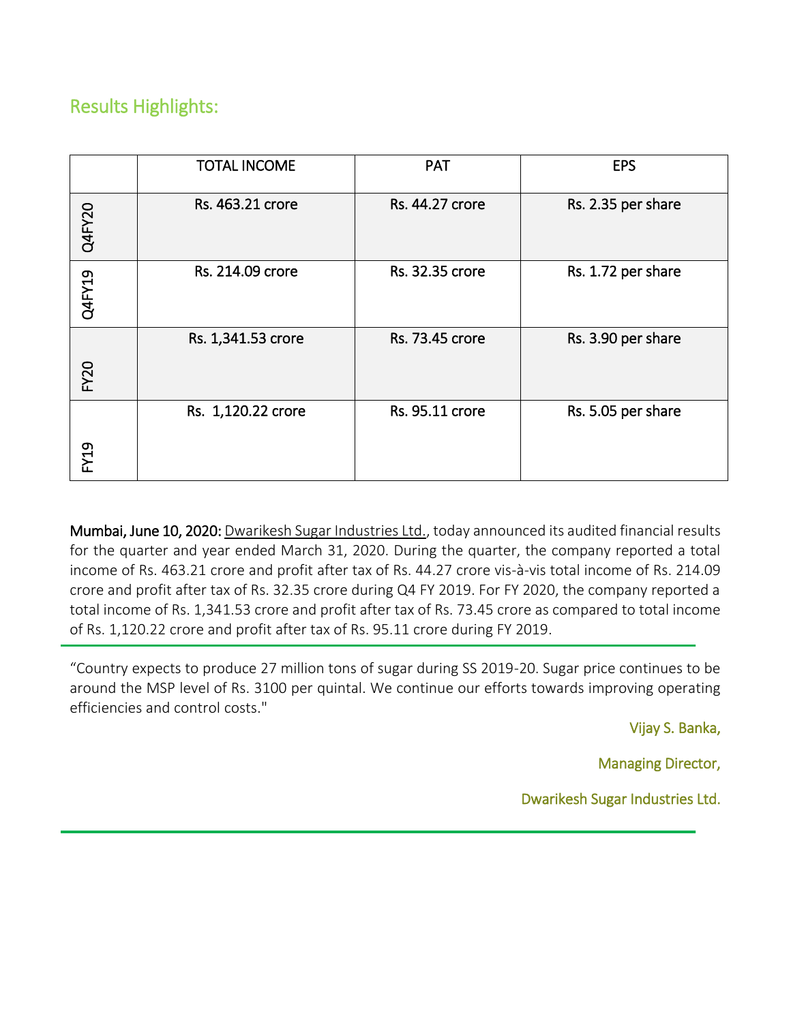## Results Highlights:

֖֖֖֖֖֖֖֖֖֖֖֖֪ׅ֖֖֖֖֚֚֚֚֚֚֚֚֚֚֚֚֚֚֚֚֚֚֚֬֝֝֝֝֓֬֝֓֞֬֝֓֬֝֓֬֝֓֬֝֓֬֝֓֬

|                  | <b>TOTAL INCOME</b> | <b>PAT</b>      | <b>EPS</b>         |
|------------------|---------------------|-----------------|--------------------|
| <b>Q4FY20</b>    | Rs. 463.21 crore    | Rs. 44.27 crore | Rs. 2.35 per share |
| Q4FY19           | Rs. 214.09 crore    | Rs. 32.35 crore | Rs. 1.72 per share |
| FY <sub>20</sub> | Rs. 1,341.53 crore  | Rs. 73.45 crore | Rs. 3.90 per share |
| FY19             | Rs. 1,120.22 crore  | Rs. 95.11 crore | Rs. 5.05 per share |

Mumbai, June 10, 2020: [Dwarikesh Sugar Industries Ltd.](http://www.dwarikesh.com/), today announced its audited financial results for the quarter and year ended March 31, 2020. During the quarter, the company reported a total income of Rs. 463.21 crore and profit after tax of Rs. 44.27 crore vis-à-vis total income of Rs. 214.09 crore and profit after tax of Rs. 32.35 crore during Q4 FY 2019. For FY 2020, the company reported a total income of Rs. 1,341.53 crore and profit after tax of Rs. 73.45 crore as compared to total income of Rs. 1,120.22 crore and profit after tax of Rs. 95.11 crore during FY 2019.

"Country expects to produce 27 million tons of sugar during SS 2019-20. Sugar price continues to be around the MSP level of Rs. 3100 per quintal. We continue our efforts towards improving operating efficiencies and control costs."

Vijay S. Banka,

Managing Director,

Dwarikesh Sugar Industries Ltd.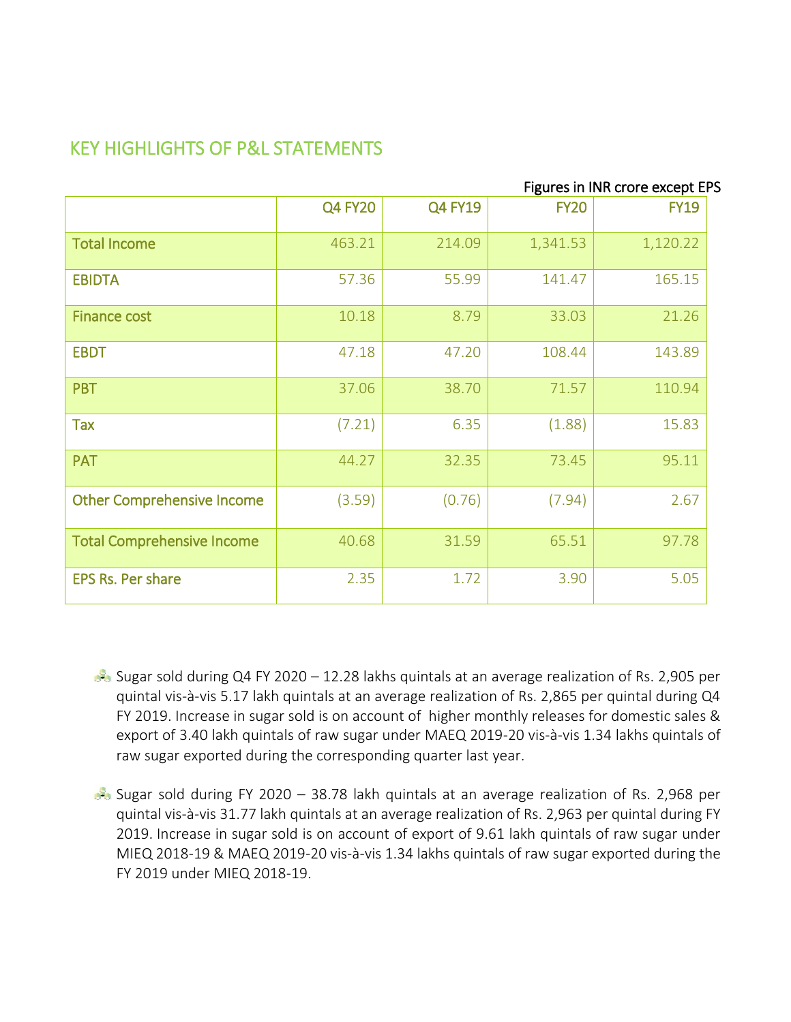# KEY HIGHLIGHTS OF P&L STATEMENTS

|                                   | Figures in INR crore except EPS |                |             |             |  |
|-----------------------------------|---------------------------------|----------------|-------------|-------------|--|
|                                   | <b>Q4 FY20</b>                  | <b>Q4 FY19</b> | <b>FY20</b> | <b>FY19</b> |  |
| <b>Total Income</b>               | 463.21                          | 214.09         | 1,341.53    | 1,120.22    |  |
| <b>EBIDTA</b>                     | 57.36                           | 55.99          | 141.47      | 165.15      |  |
| <b>Finance cost</b>               | 10.18                           | 8.79           | 33.03       | 21.26       |  |
| <b>EBDT</b>                       | 47.18                           | 47.20          | 108.44      | 143.89      |  |
| <b>PBT</b>                        | 37.06                           | 38.70          | 71.57       | 110.94      |  |
| <b>Tax</b>                        | (7.21)                          | 6.35           | (1.88)      | 15.83       |  |
| <b>PAT</b>                        | 44.27                           | 32.35          | 73.45       | 95.11       |  |
| <b>Other Comprehensive Income</b> | (3.59)                          | (0.76)         | (7.94)      | 2.67        |  |
| <b>Total Comprehensive Income</b> | 40.68                           | 31.59          | 65.51       | 97.78       |  |
| <b>EPS Rs. Per share</b>          | 2.35                            | 1.72           | 3.90        | 5.05        |  |

- Sugar sold during Q4 FY 2020 12.28 lakhs quintals at an average realization of Rs. 2,905 per quintal vis-à-vis 5.17 lakh quintals at an average realization of Rs. 2,865 per quintal during Q4 FY 2019. Increase in sugar sold is on account of higher monthly releases for domestic sales & export of 3.40 lakh quintals of raw sugar under MAEQ 2019-20 vis-à-vis 1.34 lakhs quintals of raw sugar exported during the corresponding quarter last year.
- Sugar sold during FY 2020 38.78 lakh quintals at an average realization of Rs. 2,968 per quintal vis-à-vis 31.77 lakh quintals at an average realization of Rs. 2,963 per quintal during FY 2019. Increase in sugar sold is on account of export of 9.61 lakh quintals of raw sugar under MIEQ 2018-19 & MAEQ 2019-20 vis-à-vis 1.34 lakhs quintals of raw sugar exported during the FY 2019 under MIEQ 2018-19.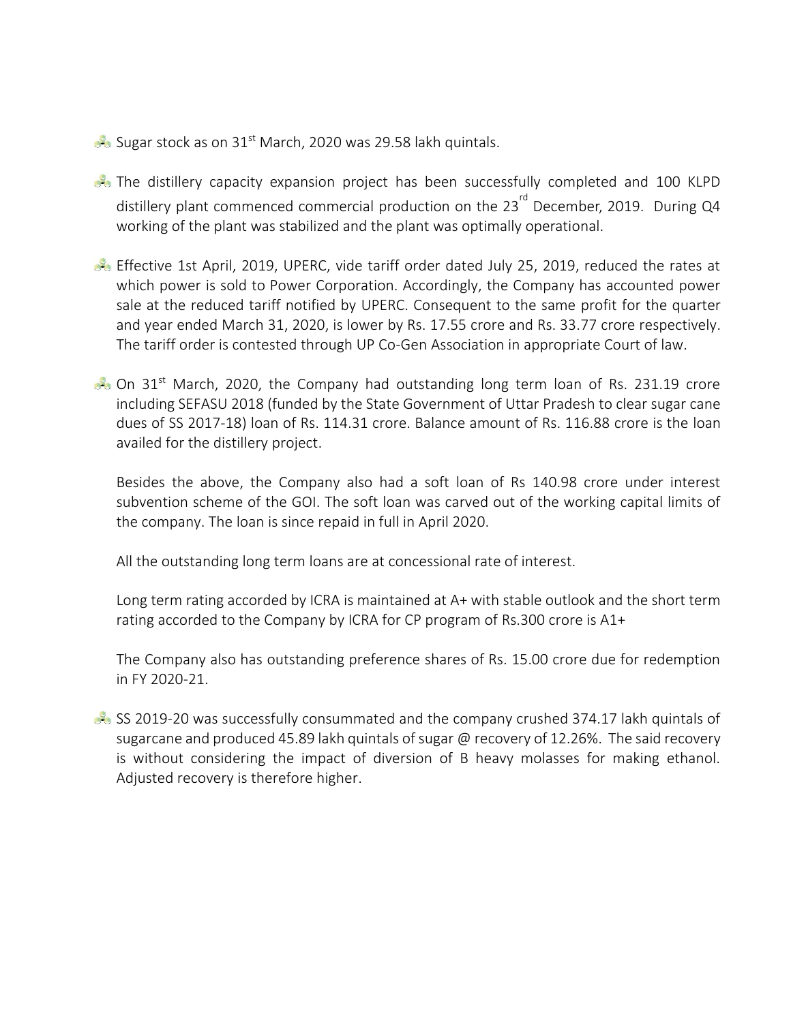Sugar stock as on 31<sup>st</sup> March, 2020 was 29.58 lakh quintals.

- **B** The distillery capacity expansion project has been successfully completed and 100 KLPD distillery plant commenced commercial production on the  $23^{\text{rd}}$  December, 2019. During Q4 working of the plant was stabilized and the plant was optimally operational.
- Effective 1st April, 2019, UPERC, vide tariff order dated July 25, 2019, reduced the rates at which power is sold to Power Corporation. Accordingly, the Company has accounted power sale at the reduced tariff notified by UPERC. Consequent to the same profit for the quarter and year ended March 31, 2020, is lower by Rs. 17.55 crore and Rs. 33.77 crore respectively. The tariff order is contested through UP Co-Gen Association in appropriate Court of law.
- $\mathbb{R}$  On 31<sup>st</sup> March, 2020, the Company had outstanding long term loan of Rs. 231.19 crore including SEFASU 2018 (funded by the State Government of Uttar Pradesh to clear sugar cane dues of SS 2017-18) loan of Rs. 114.31 crore. Balance amount of Rs. 116.88 crore is the loan availed for the distillery project.

Besides the above, the Company also had a soft loan of Rs 140.98 crore under interest subvention scheme of the GOI. The soft loan was carved out of the working capital limits of the company. The loan is since repaid in full in April 2020.

All the outstanding long term loans are at concessional rate of interest.

Long term rating accorded by ICRA is maintained at A+ with stable outlook and the short term rating accorded to the Company by ICRA for CP program of Rs.300 crore is A1+

The Company also has outstanding preference shares of Rs. 15.00 crore due for redemption in FY 2020-21.

 $\approx$  SS 2019-20 was successfully consummated and the company crushed 374.17 lakh quintals of sugarcane and produced 45.89 lakh quintals of sugar @ recovery of 12.26%. The said recovery is without considering the impact of diversion of B heavy molasses for making ethanol. Adjusted recovery is therefore higher.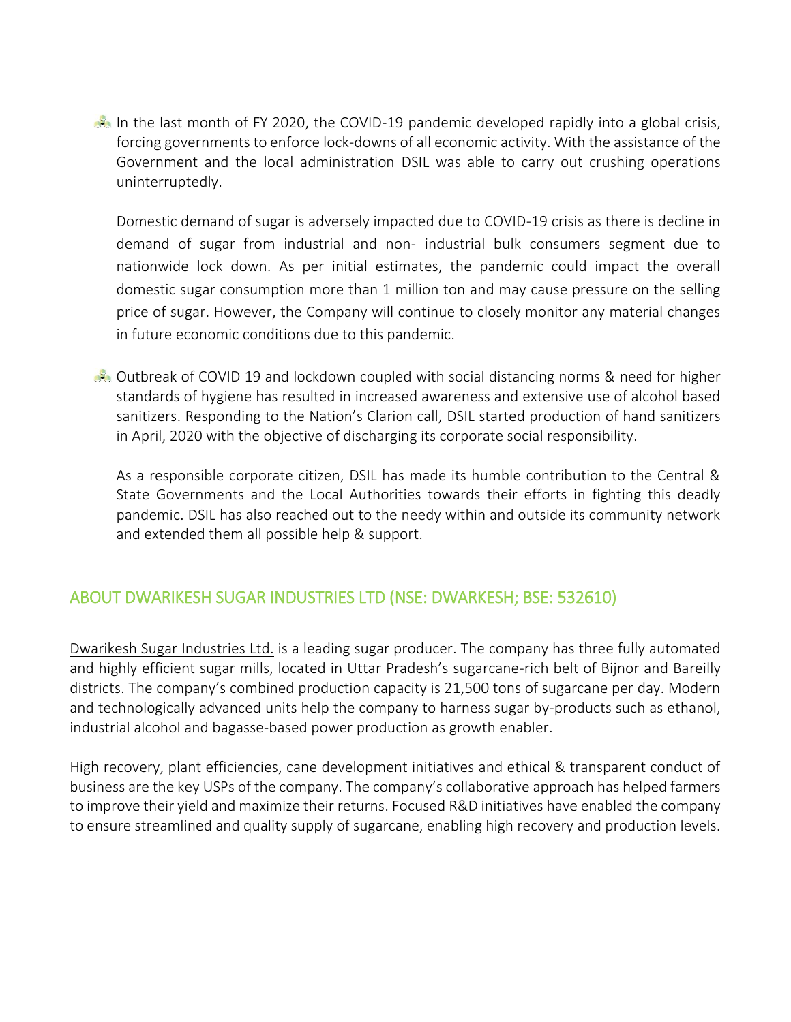In the last month of FY 2020, the COVID-19 pandemic developed rapidly into a global crisis, forcing governments to enforce lock-downs of all economic activity. With the assistance of the Government and the local administration DSIL was able to carry out crushing operations uninterruptedly.

Domestic demand of sugar is adversely impacted due to COVID-19 crisis as there is decline in demand of sugar from industrial and non- industrial bulk consumers segment due to nationwide lock down. As per initial estimates, the pandemic could impact the overall domestic sugar consumption more than 1 million ton and may cause pressure on the selling price of sugar. However, the Company will continue to closely monitor any material changes in future economic conditions due to this pandemic.

Outbreak of COVID 19 and lockdown coupled with social distancing norms & need for higher standards of hygiene has resulted in increased awareness and extensive use of alcohol based sanitizers. Responding to the Nation's Clarion call, DSIL started production of hand sanitizers in April, 2020 with the objective of discharging its corporate social responsibility.

As a responsible corporate citizen, DSIL has made its humble contribution to the Central & State Governments and the Local Authorities towards their efforts in fighting this deadly pandemic. DSIL has also reached out to the needy within and outside its community network and extended them all possible help & support.

### ABOUT DWARIKESH SUGAR INDUSTRIES LTD (NSE: DWARKESH; BSE: 532610)

[Dwarikesh Sugar Industries Ltd.](http://www.dwarikesh.com/) is a leading sugar producer. The company has three fully automated and highly efficient sugar mills, located in Uttar Pradesh's sugarcane-rich belt of Bijnor and Bareilly districts. The company's combined production capacity is 21,500 tons of sugarcane per day. Modern and technologically advanced units help the company to harness sugar by-products such as ethanol, industrial alcohol and bagasse-based power production as growth enabler.

High recovery, plant efficiencies, cane development initiatives and ethical & transparent conduct of business are the key USPs of the company. The company's collaborative approach has helped farmers to improve their yield and maximize their returns. Focused R&D initiatives have enabled the company to ensure streamlined and quality supply of sugarcane, enabling high recovery and production levels.